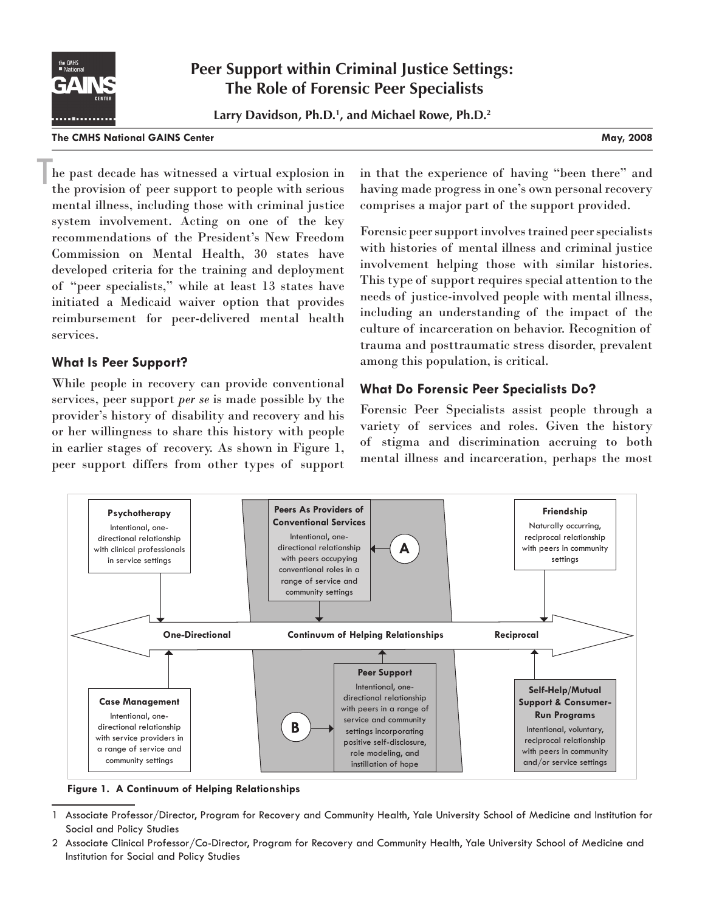

# **Peer Support within Criminal Justice Settings: The Role of Forensic Peer Specialists**

**Larry Davidson, Ph.D.1 , and Michael Rowe, Ph.D.2**

#### **The CMHS National GAINS Center May, 2008**

he past decade has witnessed a virtual explosion in the provision of peer support to people with serious mental illness, including those with criminal justice system involvement. Acting on one of the key recommendations of the President's New Freedom Commission on Mental Health, 30 states have developed criteria for the training and deployment of "peer specialists," while at least 13 states have initiated a Medicaid waiver option that provides reimbursement for peer-delivered mental health services. T

### **What Is Peer Support?**

While people in recovery can provide conventional services, peer support *per se* is made possible by the provider's history of disability and recovery and his or her willingness to share this history with people in earlier stages of recovery. As shown in Figure 1, peer support differs from other types of support in that the experience of having "been there" and having made progress in one's own personal recovery comprises a major part of the support provided.

Forensic peer support involves trained peer specialists with histories of mental illness and criminal justice involvement helping those with similar histories. This type of support requires special attention to the needs of justice-involved people with mental illness, including an understanding of the impact of the culture of incarceration on behavior. Recognition of trauma and posttraumatic stress disorder, prevalent among this population, is critical.

## **What Do Forensic Peer Specialists Do?**

Forensic Peer Specialists assist people through a variety of services and roles. Given the history of stigma and discrimination accruing to both mental illness and incarceration, perhaps the most



**Figure 1. A Continuum of Helping Relationships** 

2 Associate Clinical Professor/Co-Director, Program for Recovery and Community Health, Yale University School of Medicine and Institution for Social and Policy Studies

<sup>1</sup> Associate Professor/Director, Program for Recovery and Community Health, Yale University School of Medicine and Institution for Social and Policy Studies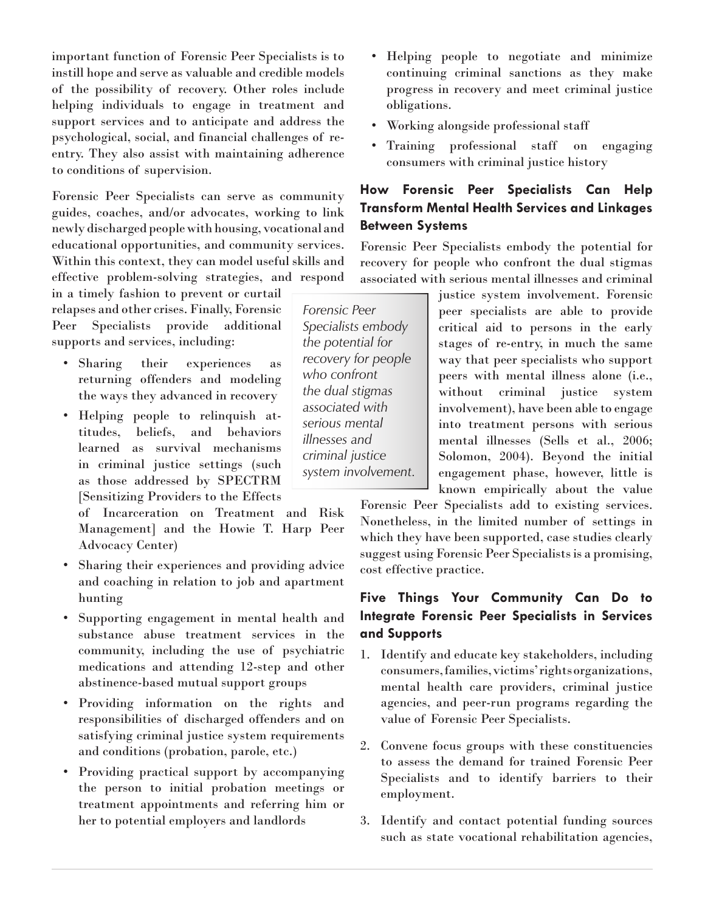important function of Forensic Peer Specialists is to instill hope and serve as valuable and credible models of the possibility of recovery. Other roles include helping individuals to engage in treatment and support services and to anticipate and address the psychological, social, and financial challenges of reentry. They also assist with maintaining adherence to conditions of supervision.

Forensic Peer Specialists can serve as community guides, coaches, and/or advocates, working to link newly discharged people with housing, vocational and educational opportunities, and community services. Within this context, they can model useful skills and effective problem-solving strategies, and respond

in a timely fashion to prevent or curtail relapses and other crises. Finally, Forensic Peer Specialists provide additional supports and services, including:

- Sharing their experiences as returning offenders and modeling the ways they advanced in recovery
- Helping people to relinquish attitudes, beliefs, and behaviors learned as survival mechanisms in criminal justice settings (such as those addressed by SPECTRM [Sensitizing Providers to the Effects

of Incarceration on Treatment and Risk Management] and the Howie T. Harp Peer Advocacy Center)

- Sharing their experiences and providing advice and coaching in relation to job and apartment hunting
- Supporting engagement in mental health and substance abuse treatment services in the community, including the use of psychiatric medications and attending 12-step and other abstinence-based mutual support groups
- Providing information on the rights and responsibilities of discharged offenders and on satisfying criminal justice system requirements and conditions (probation, parole, etc.)
- Providing practical support by accompanying the person to initial probation meetings or treatment appointments and referring him or her to potential employers and landlords
- Helping people to negotiate and minimize continuing criminal sanctions as they make progress in recovery and meet criminal justice obligations.
- Working alongside professional staff
- Training professional staff on engaging consumers with criminal justice history

## **How Forensic Peer Specialists Can Help Transform Mental Health Services and Linkages Between Systems**

Forensic Peer Specialists embody the potential for recovery for people who confront the dual stigmas associated with serious mental illnesses and criminal

*Forensic Peer Specialists embody the potential for recovery for people who confront the dual stigmas associated with serious mental illnesses and criminal justice system involvement.* justice system involvement. Forensic peer specialists are able to provide critical aid to persons in the early stages of re-entry, in much the same way that peer specialists who support peers with mental illness alone (i.e., without criminal justice system involvement), have been able to engage into treatment persons with serious mental illnesses (Sells et al., 2006; Solomon, 2004). Beyond the initial engagement phase, however, little is known empirically about the value

Forensic Peer Specialists add to existing services. Nonetheless, in the limited number of settings in which they have been supported, case studies clearly suggest using Forensic Peer Specialists is a promising, cost effective practice.

## **Five Things Your Community Can Do to Integrate Forensic Peer Specialists in Services and Supports**

- 1. Identify and educate key stakeholders, including consumers, families, victims' rights organizations, mental health care providers, criminal justice agencies, and peer-run programs regarding the value of Forensic Peer Specialists.
- 2. Convene focus groups with these constituencies to assess the demand for trained Forensic Peer Specialists and to identify barriers to their employment.
- 3. Identify and contact potential funding sources such as state vocational rehabilitation agencies,